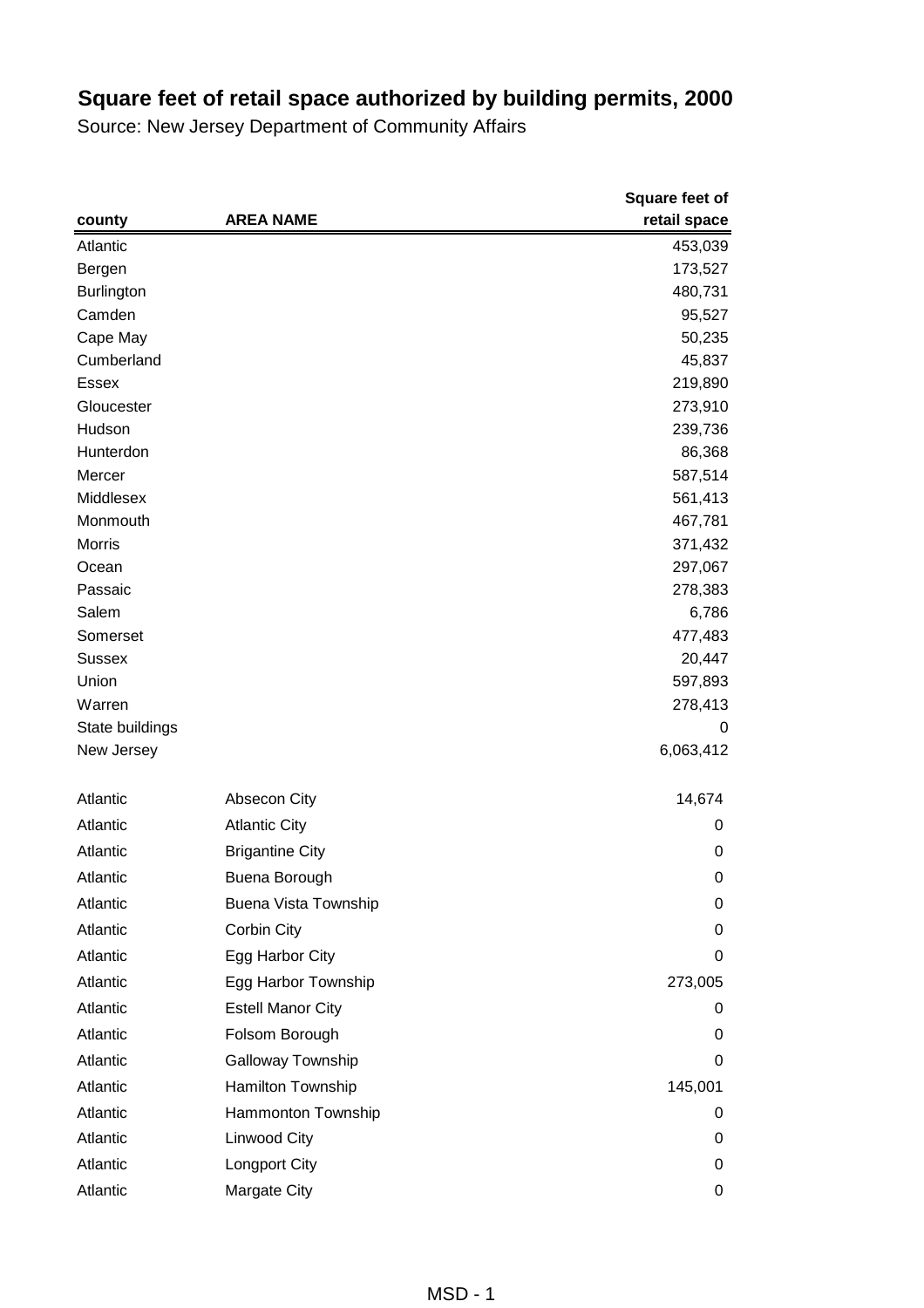|                   |                             | Square feet of |
|-------------------|-----------------------------|----------------|
| county            | <b>AREA NAME</b>            | retail space   |
| Atlantic          |                             | 453,039        |
| Bergen            |                             | 173,527        |
| <b>Burlington</b> |                             | 480,731        |
| Camden            |                             | 95,527         |
| Cape May          |                             | 50,235         |
| Cumberland        |                             | 45,837         |
| <b>Essex</b>      |                             | 219,890        |
| Gloucester        |                             | 273,910        |
| Hudson            |                             | 239,736        |
| Hunterdon         |                             | 86,368         |
| Mercer            |                             | 587,514        |
| Middlesex         |                             | 561,413        |
| Monmouth          |                             | 467,781        |
| <b>Morris</b>     |                             | 371,432        |
| Ocean             |                             | 297,067        |
| Passaic           |                             | 278,383        |
| Salem             |                             | 6,786          |
| Somerset          |                             | 477,483        |
| <b>Sussex</b>     |                             | 20,447         |
| Union             |                             | 597,893        |
| Warren            |                             | 278,413        |
| State buildings   |                             | 0              |
| New Jersey        |                             | 6,063,412      |
| Atlantic          | Absecon City                | 14,674         |
| Atlantic          | <b>Atlantic City</b>        | 0              |
| Atlantic          | <b>Brigantine City</b>      | 0              |
| Atlantic          | <b>Buena Borough</b>        | 0              |
| Atlantic          | <b>Buena Vista Township</b> | 0              |
| Atlantic          | Corbin City                 | 0              |
| Atlantic          | Egg Harbor City             | 0              |
| Atlantic          | Egg Harbor Township         | 273,005        |
| Atlantic          | <b>Estell Manor City</b>    | 0              |
| Atlantic          | Folsom Borough              | 0              |
| Atlantic          | Galloway Township           | 0              |
| Atlantic          | Hamilton Township           | 145,001        |
| Atlantic          | Hammonton Township          | 0              |
| Atlantic          | Linwood City                | 0              |
| Atlantic          | <b>Longport City</b>        | 0              |
| Atlantic          | Margate City                | 0              |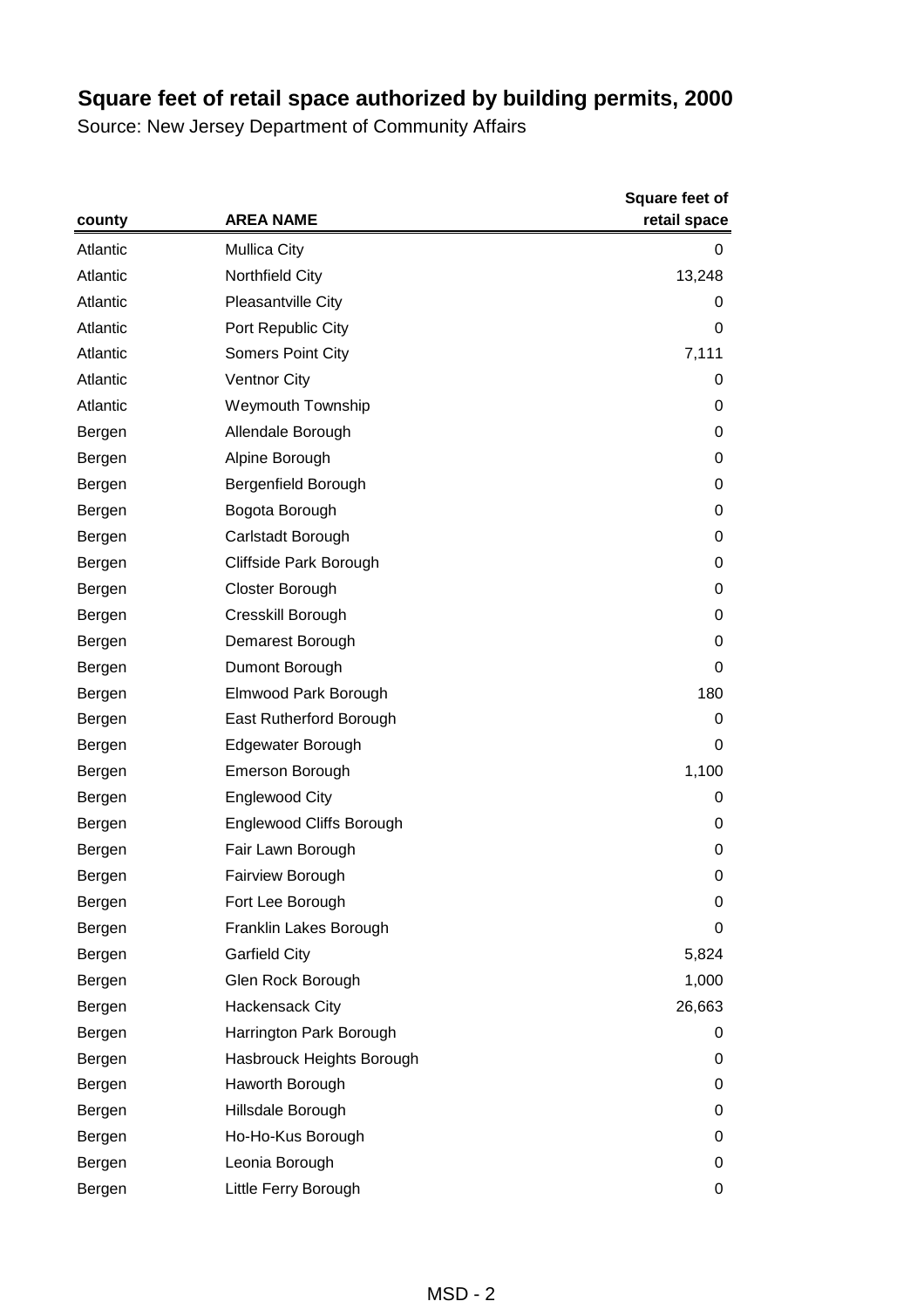|          |                                 | <b>Square feet of</b> |
|----------|---------------------------------|-----------------------|
| county   | <b>AREA NAME</b>                | retail space          |
| Atlantic | <b>Mullica City</b>             | 0                     |
| Atlantic | Northfield City                 | 13,248                |
| Atlantic | Pleasantville City              | 0                     |
| Atlantic | Port Republic City              | 0                     |
| Atlantic | Somers Point City               | 7,111                 |
| Atlantic | <b>Ventnor City</b>             | 0                     |
| Atlantic | <b>Weymouth Township</b>        | 0                     |
| Bergen   | Allendale Borough               | 0                     |
| Bergen   | Alpine Borough                  | 0                     |
| Bergen   | Bergenfield Borough             | 0                     |
| Bergen   | Bogota Borough                  | 0                     |
| Bergen   | Carlstadt Borough               | 0                     |
| Bergen   | Cliffside Park Borough          | 0                     |
| Bergen   | Closter Borough                 | 0                     |
| Bergen   | Cresskill Borough               | 0                     |
| Bergen   | Demarest Borough                | 0                     |
| Bergen   | Dumont Borough                  | 0                     |
| Bergen   | Elmwood Park Borough            | 180                   |
| Bergen   | East Rutherford Borough         | 0                     |
| Bergen   | Edgewater Borough               | 0                     |
| Bergen   | <b>Emerson Borough</b>          | 1,100                 |
| Bergen   | <b>Englewood City</b>           | 0                     |
| Bergen   | <b>Englewood Cliffs Borough</b> | 0                     |
| Bergen   | Fair Lawn Borough               | 0                     |
| Bergen   | Fairview Borough                | 0                     |
| Bergen   | Fort Lee Borough                | 0                     |
| Bergen   | Franklin Lakes Borough          | 0                     |
| Bergen   | <b>Garfield City</b>            | 5,824                 |
| Bergen   | Glen Rock Borough               | 1,000                 |
| Bergen   | <b>Hackensack City</b>          | 26,663                |
| Bergen   | Harrington Park Borough         | 0                     |
| Bergen   | Hasbrouck Heights Borough       | 0                     |
| Bergen   | Haworth Borough                 | 0                     |
| Bergen   | Hillsdale Borough               | 0                     |
| Bergen   | Ho-Ho-Kus Borough               | 0                     |
| Bergen   | Leonia Borough                  | 0                     |
| Bergen   | Little Ferry Borough            | 0                     |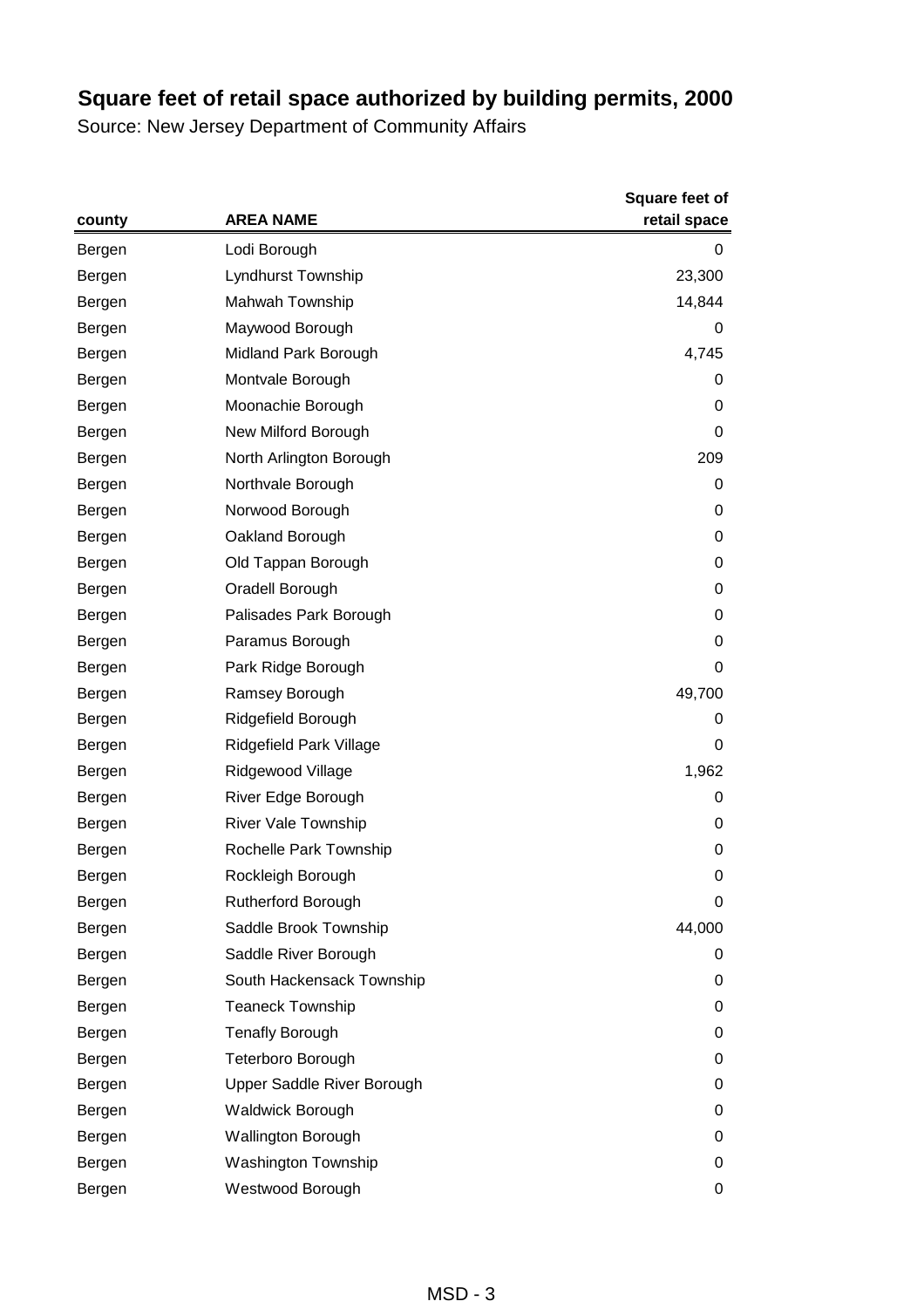|        | <b>AREA NAME</b>           | <b>Square feet of</b> |
|--------|----------------------------|-----------------------|
| county |                            | retail space          |
| Bergen | Lodi Borough               | 0                     |
| Bergen | Lyndhurst Township         | 23,300                |
| Bergen | Mahwah Township            | 14,844                |
| Bergen | Maywood Borough            | 0                     |
| Bergen | Midland Park Borough       | 4,745                 |
| Bergen | Montvale Borough           | 0                     |
| Bergen | Moonachie Borough          | 0                     |
| Bergen | New Milford Borough        | 0                     |
| Bergen | North Arlington Borough    | 209                   |
| Bergen | Northvale Borough          | 0                     |
| Bergen | Norwood Borough            | 0                     |
| Bergen | Oakland Borough            | 0                     |
| Bergen | Old Tappan Borough         | 0                     |
| Bergen | Oradell Borough            | 0                     |
| Bergen | Palisades Park Borough     | $\pmb{0}$             |
| Bergen | Paramus Borough            | 0                     |
| Bergen | Park Ridge Borough         | 0                     |
| Bergen | Ramsey Borough             | 49,700                |
| Bergen | Ridgefield Borough         | 0                     |
| Bergen | Ridgefield Park Village    | 0                     |
| Bergen | Ridgewood Village          | 1,962                 |
| Bergen | River Edge Borough         | 0                     |
| Bergen | <b>River Vale Township</b> | 0                     |
| Bergen | Rochelle Park Township     | 0                     |
| Bergen | Rockleigh Borough          | $\mathbf 0$           |
| Bergen | Rutherford Borough         | 0                     |
| Bergen | Saddle Brook Township      | 44,000                |
| Bergen | Saddle River Borough       | 0                     |
| Bergen | South Hackensack Township  | 0                     |
| Bergen | <b>Teaneck Township</b>    | 0                     |
| Bergen | <b>Tenafly Borough</b>     | 0                     |
| Bergen | Teterboro Borough          | 0                     |
| Bergen | Upper Saddle River Borough | 0                     |
| Bergen | <b>Waldwick Borough</b>    | 0                     |
| Bergen | <b>Wallington Borough</b>  | 0                     |
| Bergen | Washington Township        | 0                     |
| Bergen | Westwood Borough           | 0                     |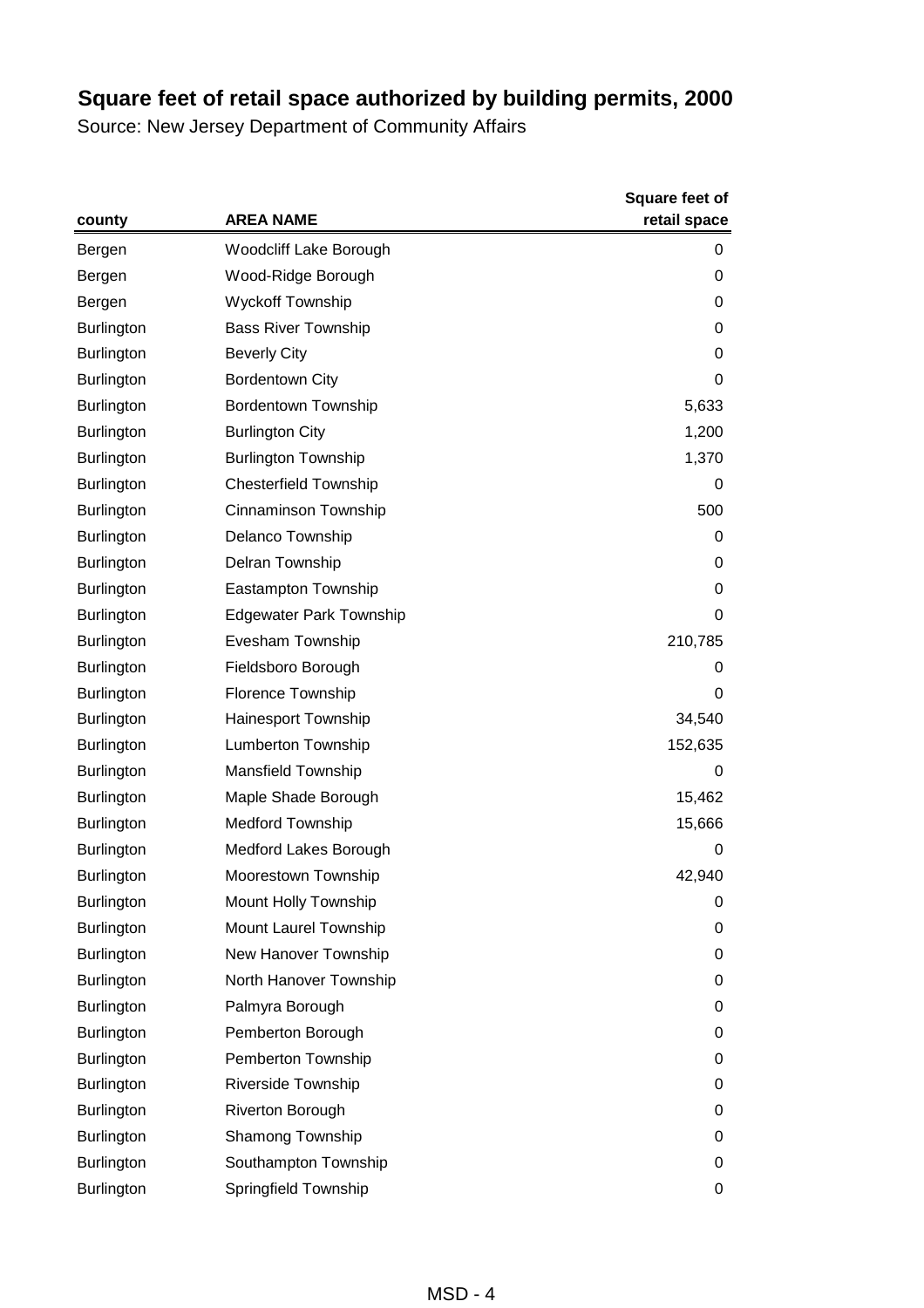|                   |                                | Square feet of |
|-------------------|--------------------------------|----------------|
| county            | <b>AREA NAME</b>               | retail space   |
| Bergen            | Woodcliff Lake Borough         | 0              |
| Bergen            | Wood-Ridge Borough             | 0              |
| Bergen            | <b>Wyckoff Township</b>        | 0              |
| <b>Burlington</b> | <b>Bass River Township</b>     | 0              |
| <b>Burlington</b> | <b>Beverly City</b>            | 0              |
| <b>Burlington</b> | <b>Bordentown City</b>         | 0              |
| <b>Burlington</b> | <b>Bordentown Township</b>     | 5,633          |
| <b>Burlington</b> | <b>Burlington City</b>         | 1,200          |
| <b>Burlington</b> | <b>Burlington Township</b>     | 1,370          |
| <b>Burlington</b> | <b>Chesterfield Township</b>   | 0              |
| <b>Burlington</b> | Cinnaminson Township           | 500            |
| Burlington        | Delanco Township               | 0              |
| <b>Burlington</b> | Delran Township                | 0              |
| <b>Burlington</b> | Eastampton Township            | 0              |
| <b>Burlington</b> | <b>Edgewater Park Township</b> | 0              |
| <b>Burlington</b> | Evesham Township               | 210,785        |
| <b>Burlington</b> | Fieldsboro Borough             | 0              |
| <b>Burlington</b> | <b>Florence Township</b>       | 0              |
| <b>Burlington</b> | Hainesport Township            | 34,540         |
| <b>Burlington</b> | Lumberton Township             | 152,635        |
| <b>Burlington</b> | <b>Mansfield Township</b>      | 0              |
| Burlington        | Maple Shade Borough            | 15,462         |
| <b>Burlington</b> | <b>Medford Township</b>        | 15,666         |
| <b>Burlington</b> | Medford Lakes Borough          | 0              |
| <b>Burlington</b> | Moorestown Township            | 42,940         |
| <b>Burlington</b> | Mount Holly Township           | 0              |
| <b>Burlington</b> | Mount Laurel Township          | 0              |
| <b>Burlington</b> | New Hanover Township           | 0              |
| <b>Burlington</b> | North Hanover Township         | 0              |
| <b>Burlington</b> | Palmyra Borough                | 0              |
| <b>Burlington</b> | Pemberton Borough              | 0              |
| <b>Burlington</b> | Pemberton Township             | 0              |
| <b>Burlington</b> | Riverside Township             | 0              |
| <b>Burlington</b> | Riverton Borough               | 0              |
| <b>Burlington</b> | Shamong Township               | 0              |
| <b>Burlington</b> | Southampton Township           | 0              |
| Burlington        | Springfield Township           | 0              |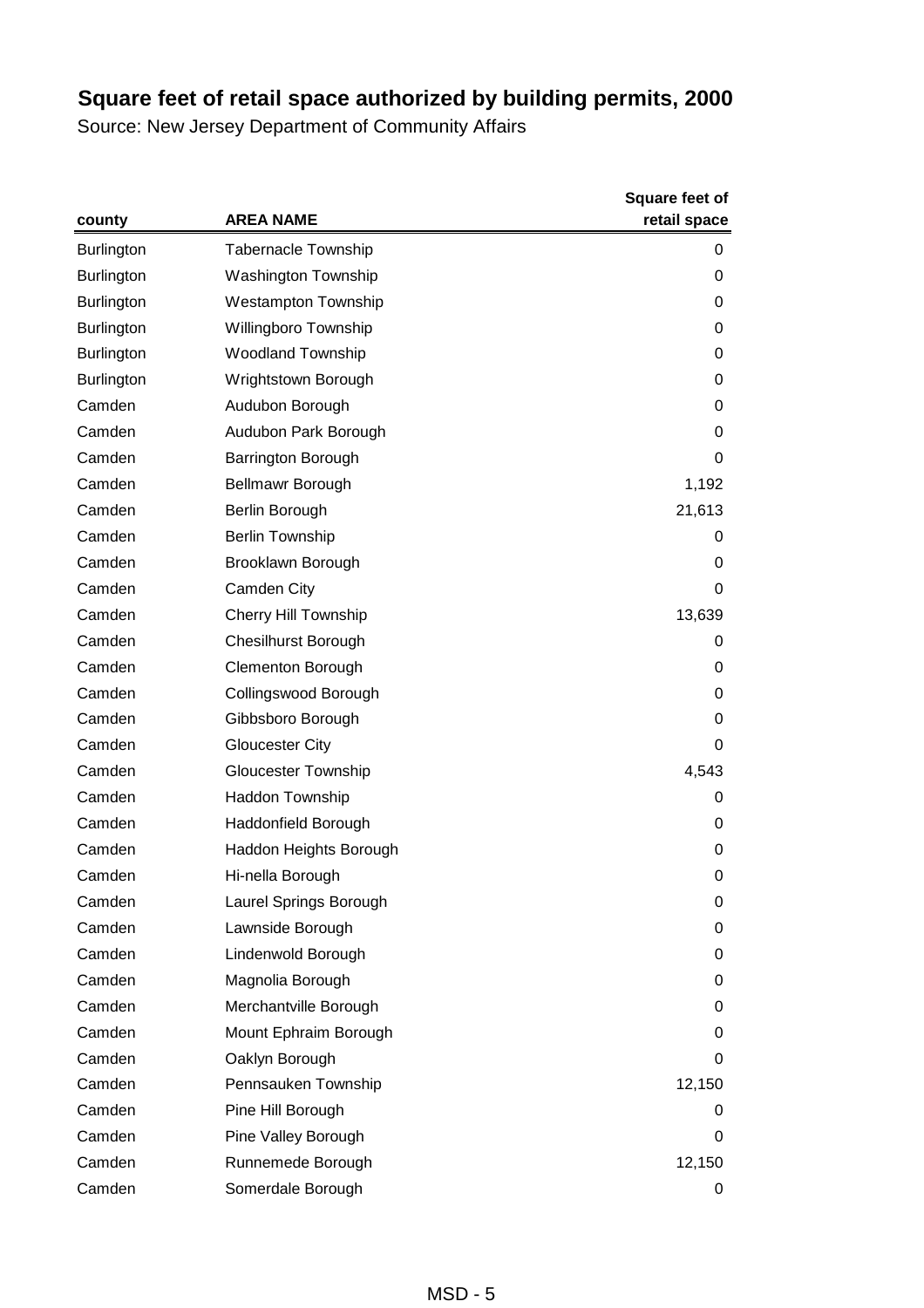|                   |                             | <b>Square feet of</b> |
|-------------------|-----------------------------|-----------------------|
| county            | <b>AREA NAME</b>            | retail space          |
| <b>Burlington</b> | <b>Tabernacle Township</b>  | 0                     |
| <b>Burlington</b> | <b>Washington Township</b>  | 0                     |
| <b>Burlington</b> | <b>Westampton Township</b>  | 0                     |
| <b>Burlington</b> | Willingboro Township        | 0                     |
| <b>Burlington</b> | <b>Woodland Township</b>    | 0                     |
| <b>Burlington</b> | Wrightstown Borough         | 0                     |
| Camden            | Audubon Borough             | 0                     |
| Camden            | Audubon Park Borough        | 0                     |
| Camden            | Barrington Borough          | 0                     |
| Camden            | Bellmawr Borough            | 1,192                 |
| Camden            | Berlin Borough              | 21,613                |
| Camden            | <b>Berlin Township</b>      | 0                     |
| Camden            | Brooklawn Borough           | 0                     |
| Camden            | Camden City                 | 0                     |
| Camden            | <b>Cherry Hill Township</b> | 13,639                |
| Camden            | <b>Chesilhurst Borough</b>  | 0                     |
| Camden            | <b>Clementon Borough</b>    | 0                     |
| Camden            | Collingswood Borough        | 0                     |
| Camden            | Gibbsboro Borough           | 0                     |
| Camden            | <b>Gloucester City</b>      | 0                     |
| Camden            | <b>Gloucester Township</b>  | 4,543                 |
| Camden            | Haddon Township             | 0                     |
| Camden            | Haddonfield Borough         | 0                     |
| Camden            | Haddon Heights Borough      | 0                     |
| Camden            | Hi-nella Borough            | 0                     |
| Camden            | Laurel Springs Borough      | 0                     |
| Camden            | Lawnside Borough            | 0                     |
| Camden            | Lindenwold Borough          | 0                     |
| Camden            | Magnolia Borough            | 0                     |
| Camden            | Merchantville Borough       | 0                     |
| Camden            | Mount Ephraim Borough       | 0                     |
| Camden            | Oaklyn Borough              | 0                     |
| Camden            | Pennsauken Township         | 12,150                |
| Camden            | Pine Hill Borough           | 0                     |
| Camden            | Pine Valley Borough         | 0                     |
| Camden            | Runnemede Borough           | 12,150                |
| Camden            | Somerdale Borough           | 0                     |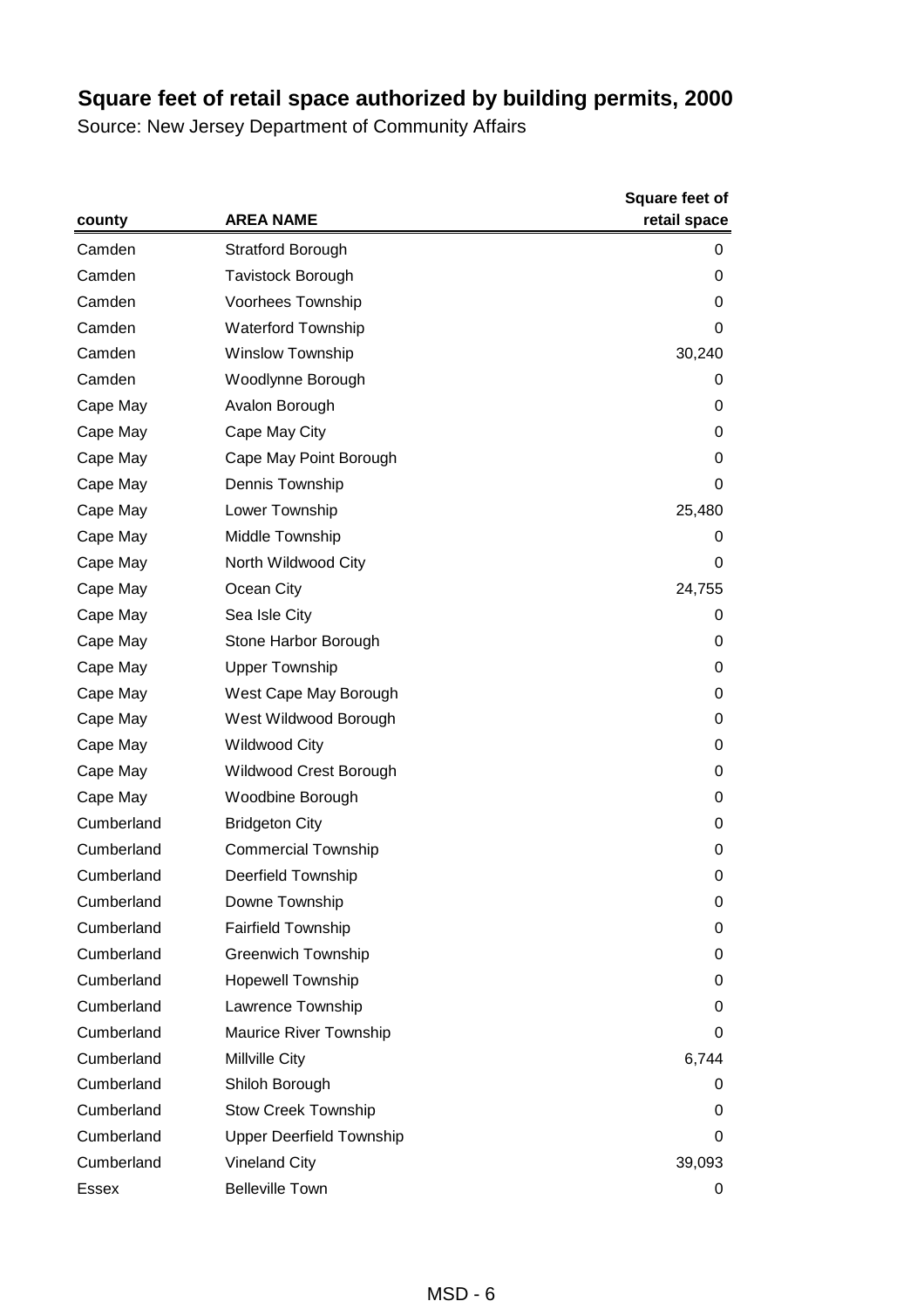|            |                                 | <b>Square feet of</b> |
|------------|---------------------------------|-----------------------|
| county     | <b>AREA NAME</b>                | retail space          |
| Camden     | <b>Stratford Borough</b>        | 0                     |
| Camden     | <b>Tavistock Borough</b>        | 0                     |
| Camden     | Voorhees Township               | 0                     |
| Camden     | <b>Waterford Township</b>       | 0                     |
| Camden     | Winslow Township                | 30,240                |
| Camden     | Woodlynne Borough               | 0                     |
| Cape May   | Avalon Borough                  | 0                     |
| Cape May   | Cape May City                   | 0                     |
| Cape May   | Cape May Point Borough          | 0                     |
| Cape May   | Dennis Township                 | 0                     |
| Cape May   | Lower Township                  | 25,480                |
| Cape May   | Middle Township                 | 0                     |
| Cape May   | North Wildwood City             | 0                     |
| Cape May   | Ocean City                      | 24,755                |
| Cape May   | Sea Isle City                   | 0                     |
| Cape May   | Stone Harbor Borough            | 0                     |
| Cape May   | <b>Upper Township</b>           | 0                     |
| Cape May   | West Cape May Borough           | 0                     |
| Cape May   | West Wildwood Borough           | 0                     |
| Cape May   | <b>Wildwood City</b>            | 0                     |
| Cape May   | Wildwood Crest Borough          | 0                     |
| Cape May   | Woodbine Borough                | 0                     |
| Cumberland | <b>Bridgeton City</b>           | 0                     |
| Cumberland | <b>Commercial Township</b>      | 0                     |
| Cumberland | <b>Deerfield Township</b>       | 0                     |
| Cumberland | Downe Township                  | 0                     |
| Cumberland | <b>Fairfield Township</b>       | 0                     |
| Cumberland | <b>Greenwich Township</b>       | 0                     |
| Cumberland | <b>Hopewell Township</b>        | 0                     |
| Cumberland | Lawrence Township               | 0                     |
| Cumberland | Maurice River Township          | 0                     |
| Cumberland | Millville City                  | 6,744                 |
| Cumberland | Shiloh Borough                  | 0                     |
| Cumberland | <b>Stow Creek Township</b>      | 0                     |
| Cumberland | <b>Upper Deerfield Township</b> | 0                     |
| Cumberland | <b>Vineland City</b>            | 39,093                |
| Essex      | <b>Belleville Town</b>          | 0                     |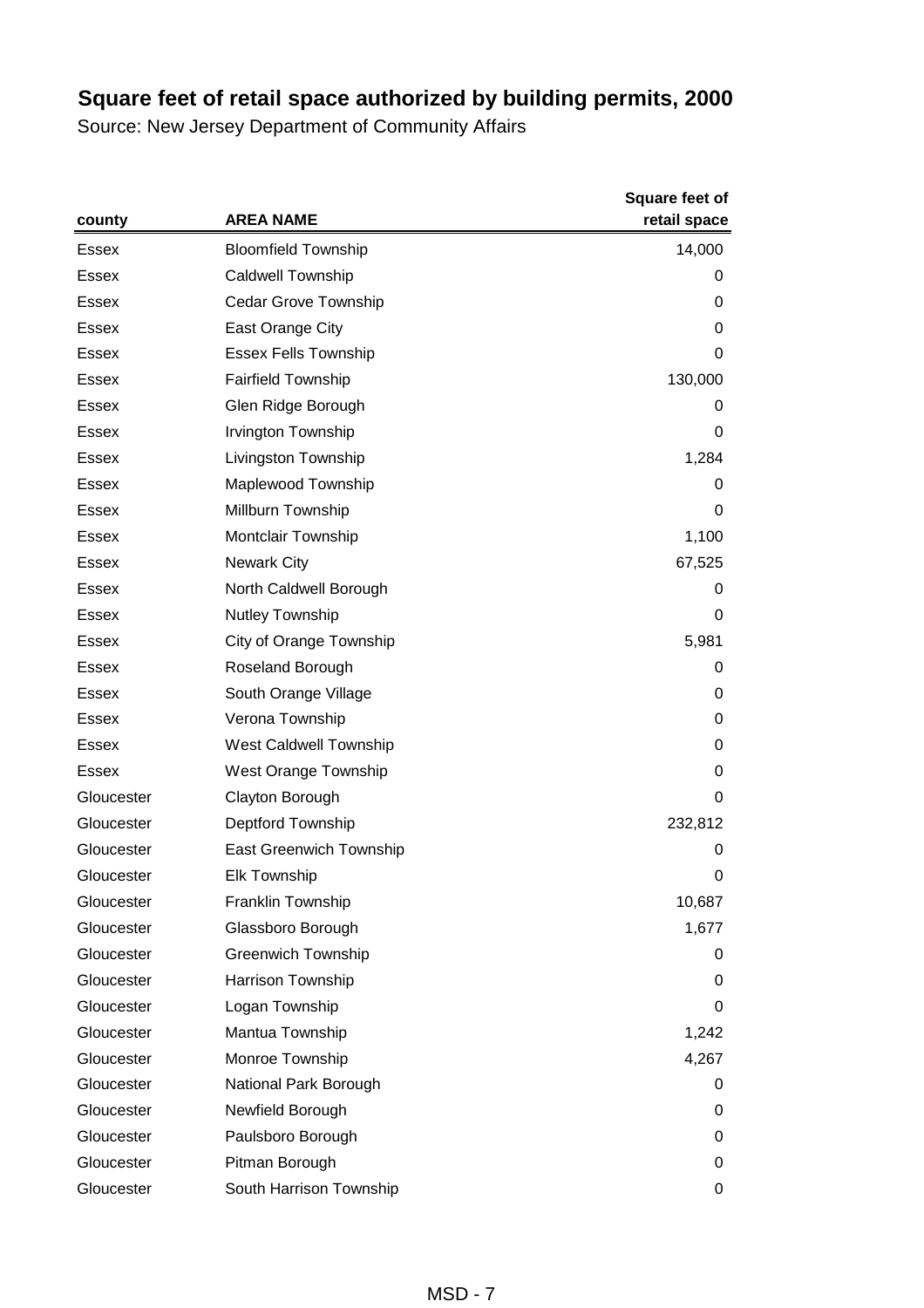|              | <b>AREA NAME</b>               | <b>Square feet of</b><br>retail space |
|--------------|--------------------------------|---------------------------------------|
| county       |                                |                                       |
| Essex        | <b>Bloomfield Township</b>     | 14,000                                |
| <b>Essex</b> | <b>Caldwell Township</b>       | 0                                     |
| Essex        | <b>Cedar Grove Township</b>    | 0                                     |
| Essex        | East Orange City               | 0                                     |
| Essex        | <b>Essex Fells Township</b>    | 0                                     |
| <b>Essex</b> | <b>Fairfield Township</b>      | 130,000                               |
| <b>Essex</b> | Glen Ridge Borough             | 0                                     |
| Essex        | Irvington Township             | 0                                     |
| Essex        | Livingston Township            | 1,284                                 |
| <b>Essex</b> | Maplewood Township             | 0                                     |
| <b>Essex</b> | Millburn Township              | 0                                     |
| Essex        | <b>Montclair Township</b>      | 1,100                                 |
| Essex        | <b>Newark City</b>             | 67,525                                |
| Essex        | North Caldwell Borough         | 0                                     |
| Essex        | Nutley Township                | 0                                     |
| <b>Essex</b> | City of Orange Township        | 5,981                                 |
| Essex        | Roseland Borough               | 0                                     |
| Essex        | South Orange Village           | 0                                     |
| Essex        | Verona Township                | 0                                     |
| Essex        | West Caldwell Township         | 0                                     |
| <b>Essex</b> | West Orange Township           | 0                                     |
| Gloucester   | Clayton Borough                | 0                                     |
| Gloucester   | Deptford Township              | 232,812                               |
| Gloucester   | <b>East Greenwich Township</b> | 0                                     |
| Gloucester   | <b>Elk Township</b>            | 0                                     |
| Gloucester   | Franklin Township              | 10,687                                |
| Gloucester   | Glassboro Borough              | 1,677                                 |
| Gloucester   | <b>Greenwich Township</b>      | 0                                     |
| Gloucester   | Harrison Township              | 0                                     |
| Gloucester   | Logan Township                 | 0                                     |
| Gloucester   | Mantua Township                | 1,242                                 |
| Gloucester   | Monroe Township                | 4,267                                 |
| Gloucester   | National Park Borough          | 0                                     |
| Gloucester   | Newfield Borough               | 0                                     |
| Gloucester   | Paulsboro Borough              | 0                                     |
| Gloucester   | Pitman Borough                 | 0                                     |
| Gloucester   | South Harrison Township        | 0                                     |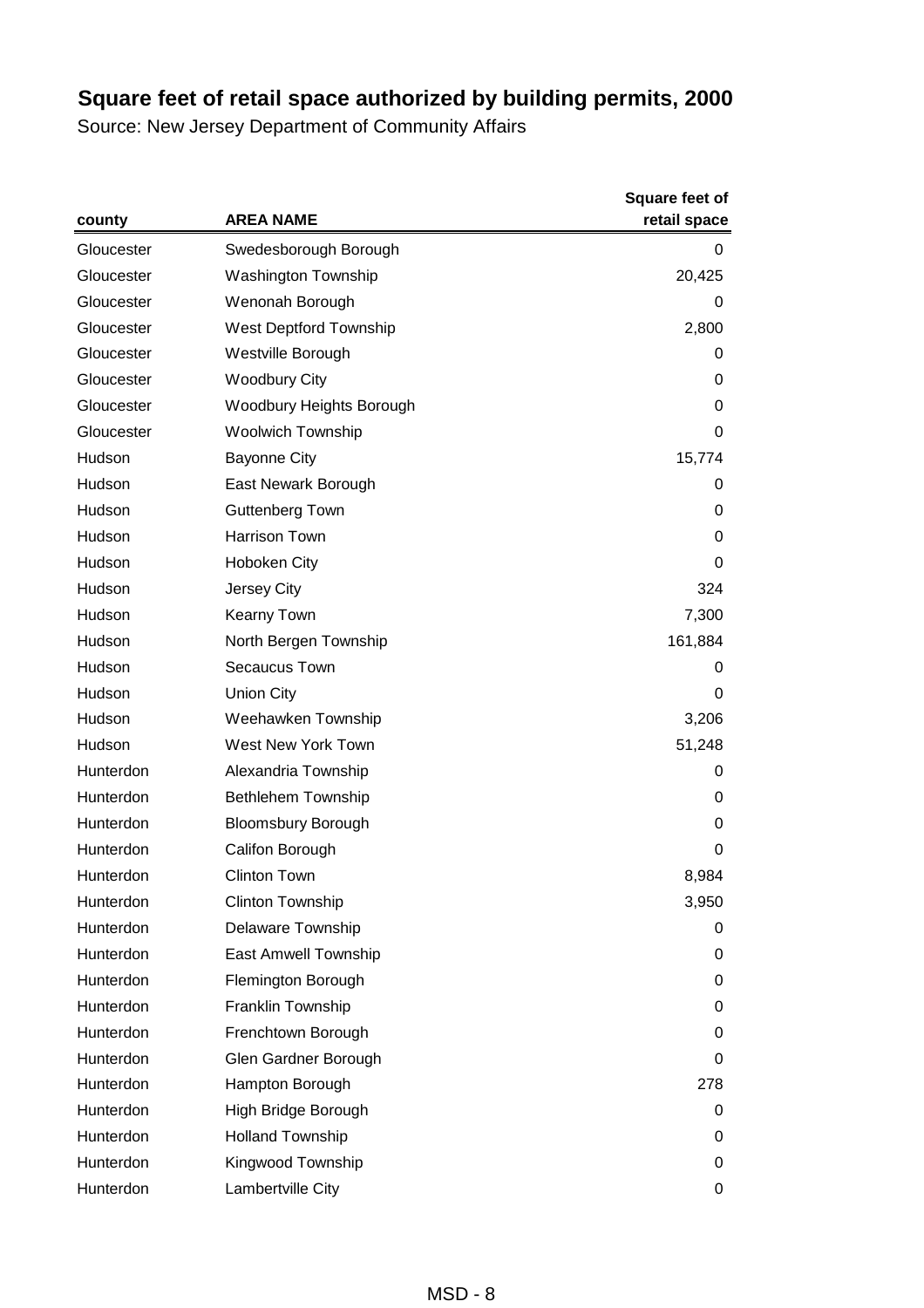|            | <b>AREA NAME</b>           | <b>Square feet of</b><br>retail space |
|------------|----------------------------|---------------------------------------|
| county     |                            |                                       |
| Gloucester | Swedesborough Borough      | 0                                     |
| Gloucester | <b>Washington Township</b> | 20,425                                |
| Gloucester | Wenonah Borough            | 0                                     |
| Gloucester | West Deptford Township     | 2,800                                 |
| Gloucester | Westville Borough          | 0                                     |
| Gloucester | <b>Woodbury City</b>       | 0                                     |
| Gloucester | Woodbury Heights Borough   | 0                                     |
| Gloucester | <b>Woolwich Township</b>   | 0                                     |
| Hudson     | <b>Bayonne City</b>        | 15,774                                |
| Hudson     | East Newark Borough        | 0                                     |
| Hudson     | <b>Guttenberg Town</b>     | 0                                     |
| Hudson     | <b>Harrison Town</b>       | 0                                     |
| Hudson     | <b>Hoboken City</b>        | 0                                     |
| Hudson     | Jersey City                | 324                                   |
| Hudson     | Kearny Town                | 7,300                                 |
| Hudson     | North Bergen Township      | 161,884                               |
| Hudson     | Secaucus Town              | 0                                     |
| Hudson     | <b>Union City</b>          | 0                                     |
| Hudson     | Weehawken Township         | 3,206                                 |
| Hudson     | West New York Town         | 51,248                                |
| Hunterdon  | Alexandria Township        | 0                                     |
| Hunterdon  | <b>Bethlehem Township</b>  | 0                                     |
| Hunterdon  | <b>Bloomsbury Borough</b>  | 0                                     |
| Hunterdon  | Califon Borough            | 0                                     |
| Hunterdon  | <b>Clinton Town</b>        | 8,984                                 |
| Hunterdon  | <b>Clinton Township</b>    | 3,950                                 |
| Hunterdon  | Delaware Township          | 0                                     |
| Hunterdon  | East Amwell Township       | 0                                     |
| Hunterdon  | Flemington Borough         | 0                                     |
| Hunterdon  | Franklin Township          | 0                                     |
| Hunterdon  | Frenchtown Borough         | 0                                     |
| Hunterdon  | Glen Gardner Borough       | 0                                     |
| Hunterdon  | Hampton Borough            | 278                                   |
| Hunterdon  | High Bridge Borough        | 0                                     |
| Hunterdon  | <b>Holland Township</b>    | 0                                     |
| Hunterdon  | Kingwood Township          | 0                                     |
| Hunterdon  | Lambertville City          | 0                                     |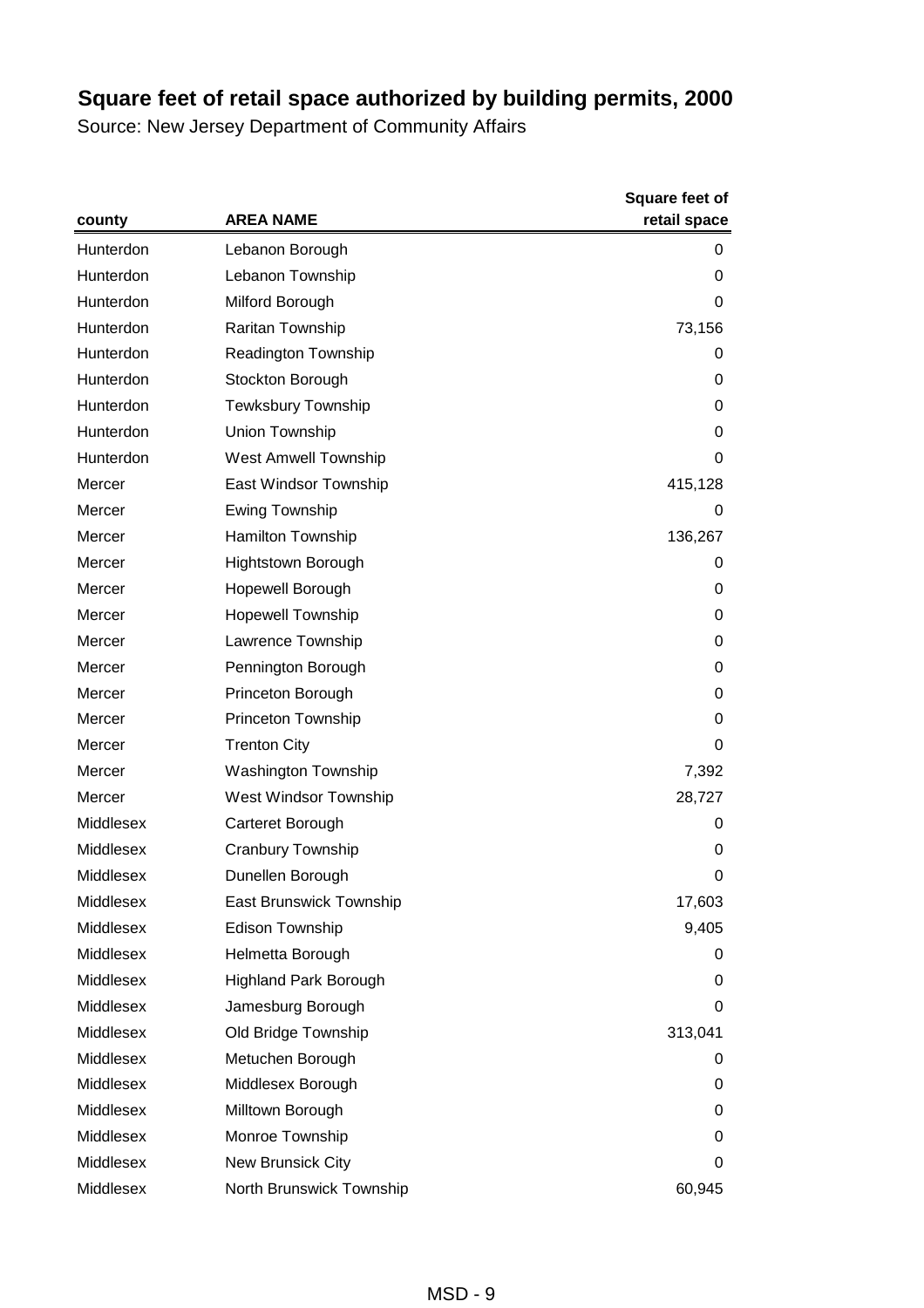|           | <b>AREA NAME</b>             | <b>Square feet of</b> |
|-----------|------------------------------|-----------------------|
| county    |                              | retail space          |
| Hunterdon | Lebanon Borough              | 0                     |
| Hunterdon | Lebanon Township             | 0                     |
| Hunterdon | Milford Borough              | 0                     |
| Hunterdon | Raritan Township             | 73,156                |
| Hunterdon | Readington Township          | 0                     |
| Hunterdon | Stockton Borough             | 0                     |
| Hunterdon | <b>Tewksbury Township</b>    | 0                     |
| Hunterdon | Union Township               | 0                     |
| Hunterdon | <b>West Amwell Township</b>  | 0                     |
| Mercer    | East Windsor Township        | 415,128               |
| Mercer    | Ewing Township               | 0                     |
| Mercer    | Hamilton Township            | 136,267               |
| Mercer    | Hightstown Borough           | 0                     |
| Mercer    | Hopewell Borough             | 0                     |
| Mercer    | <b>Hopewell Township</b>     | 0                     |
| Mercer    | Lawrence Township            | 0                     |
| Mercer    | Pennington Borough           | 0                     |
| Mercer    | Princeton Borough            | 0                     |
| Mercer    | Princeton Township           | 0                     |
| Mercer    | <b>Trenton City</b>          | 0                     |
| Mercer    | <b>Washington Township</b>   | 7,392                 |
| Mercer    | West Windsor Township        | 28,727                |
| Middlesex | Carteret Borough             | 0                     |
| Middlesex | <b>Cranbury Township</b>     | 0                     |
| Middlesex | Dunellen Borough             | 0                     |
| Middlesex | East Brunswick Township      | 17,603                |
| Middlesex | Edison Township              | 9,405                 |
| Middlesex | Helmetta Borough             | 0                     |
| Middlesex | <b>Highland Park Borough</b> | 0                     |
| Middlesex | Jamesburg Borough            | 0                     |
| Middlesex | Old Bridge Township          | 313,041               |
| Middlesex | Metuchen Borough             | 0                     |
| Middlesex | Middlesex Borough            | 0                     |
| Middlesex | Milltown Borough             | 0                     |
| Middlesex | Monroe Township              | 0                     |
| Middlesex | New Brunsick City            | 0                     |
| Middlesex | North Brunswick Township     | 60,945                |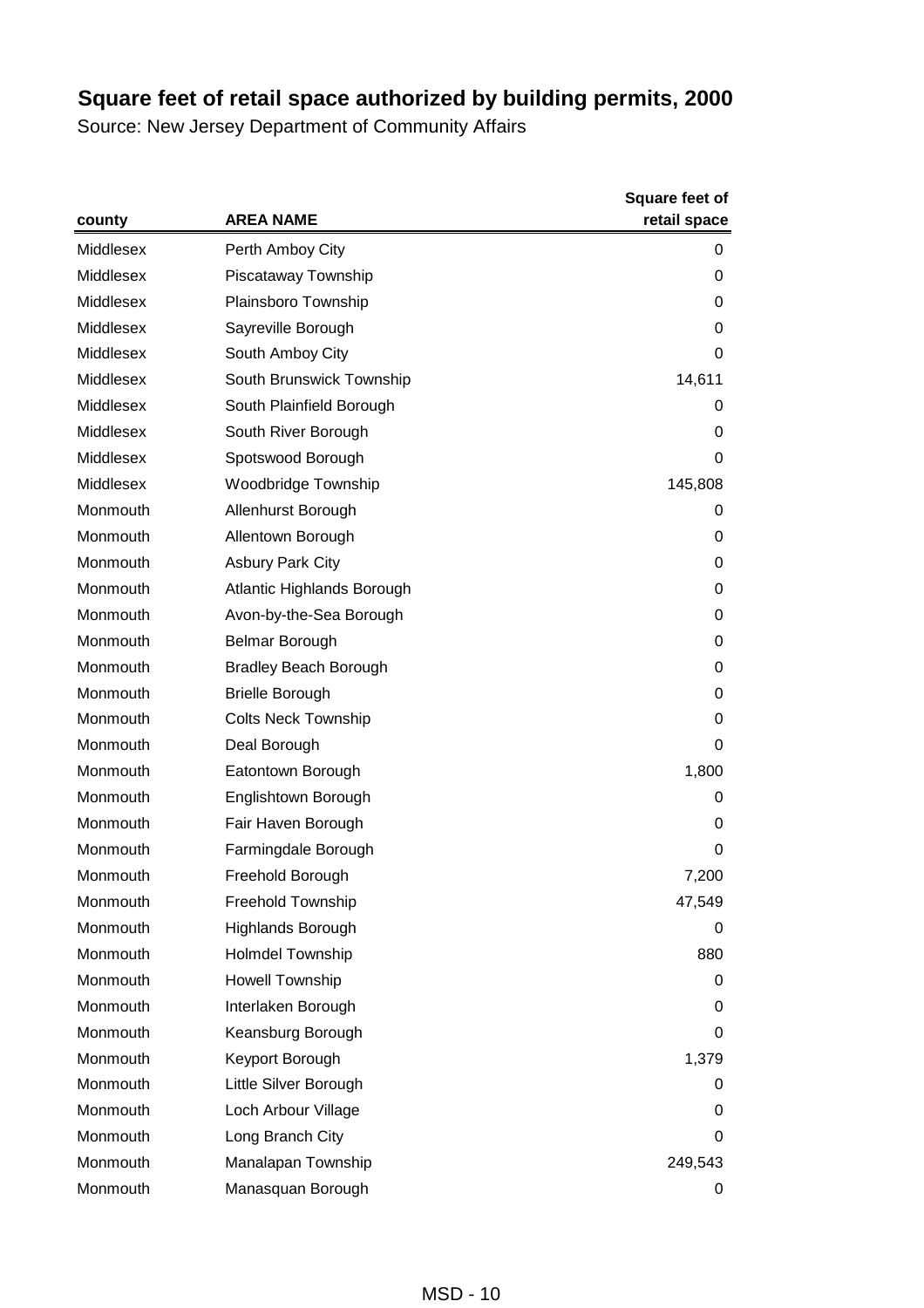|           | <b>AREA NAME</b>             | Square feet of<br>retail space |
|-----------|------------------------------|--------------------------------|
| county    |                              |                                |
| Middlesex | Perth Amboy City             | 0                              |
| Middlesex | Piscataway Township          | 0                              |
| Middlesex | Plainsboro Township          | 0                              |
| Middlesex | Sayreville Borough           | 0                              |
| Middlesex | South Amboy City             | 0                              |
| Middlesex | South Brunswick Township     | 14,611                         |
| Middlesex | South Plainfield Borough     | 0                              |
| Middlesex | South River Borough          | 0                              |
| Middlesex | Spotswood Borough            | 0                              |
| Middlesex | Woodbridge Township          | 145,808                        |
| Monmouth  | Allenhurst Borough           | 0                              |
| Monmouth  | Allentown Borough            | 0                              |
| Monmouth  | <b>Asbury Park City</b>      | 0                              |
| Monmouth  | Atlantic Highlands Borough   | 0                              |
| Monmouth  | Avon-by-the-Sea Borough      | 0                              |
| Monmouth  | <b>Belmar Borough</b>        | 0                              |
| Monmouth  | <b>Bradley Beach Borough</b> | 0                              |
| Monmouth  | <b>Brielle Borough</b>       | 0                              |
| Monmouth  | <b>Colts Neck Township</b>   | 0                              |
| Monmouth  | Deal Borough                 | 0                              |
| Monmouth  | Eatontown Borough            | 1,800                          |
| Monmouth  | Englishtown Borough          | 0                              |
| Monmouth  | Fair Haven Borough           | 0                              |
| Monmouth  | Farmingdale Borough          | 0                              |
| Monmouth  | Freehold Borough             | 7,200                          |
| Monmouth  | Freehold Township            | 47,549                         |
| Monmouth  | Highlands Borough            | 0                              |
| Monmouth  | Holmdel Township             | 880                            |
| Monmouth  | <b>Howell Township</b>       | 0                              |
| Monmouth  | Interlaken Borough           | 0                              |
| Monmouth  | Keansburg Borough            | 0                              |
| Monmouth  | Keyport Borough              | 1,379                          |
| Monmouth  | Little Silver Borough        | 0                              |
| Monmouth  | Loch Arbour Village          | 0                              |
| Monmouth  | Long Branch City             | 0                              |
| Monmouth  | Manalapan Township           | 249,543                        |
| Monmouth  | Manasquan Borough            | 0                              |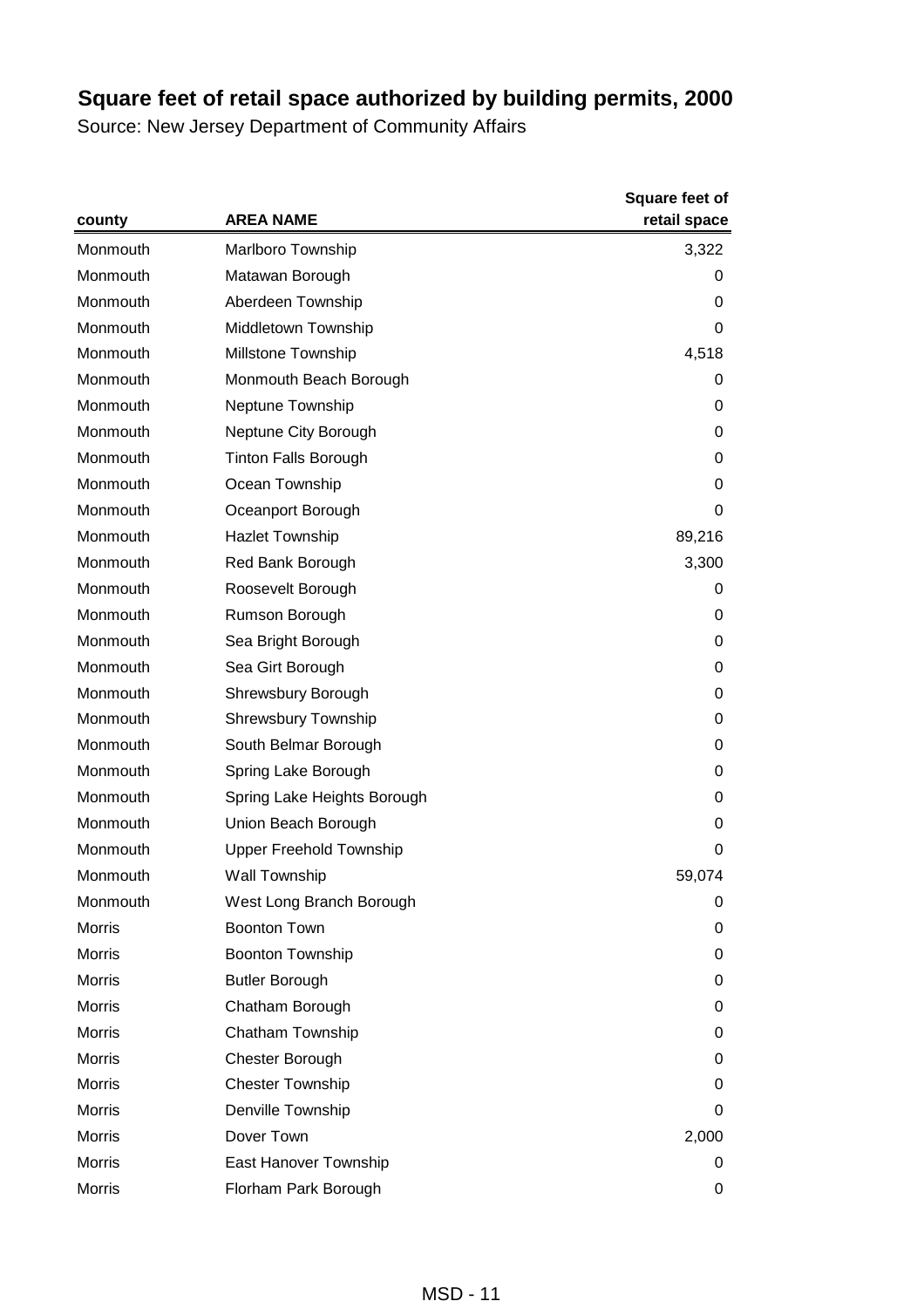|               | <b>AREA NAME</b>               | <b>Square feet of</b> |
|---------------|--------------------------------|-----------------------|
| county        |                                | retail space          |
| Monmouth      | <b>Marlboro Township</b>       | 3,322                 |
| Monmouth      | Matawan Borough                | 0                     |
| Monmouth      | Aberdeen Township              | 0                     |
| Monmouth      | Middletown Township            | 0                     |
| Monmouth      | <b>Millstone Township</b>      | 4,518                 |
| Monmouth      | Monmouth Beach Borough         | 0                     |
| Monmouth      | Neptune Township               | 0                     |
| Monmouth      | Neptune City Borough           | 0                     |
| Monmouth      | <b>Tinton Falls Borough</b>    | 0                     |
| Monmouth      | Ocean Township                 | 0                     |
| Monmouth      | Oceanport Borough              | 0                     |
| Monmouth      | <b>Hazlet Township</b>         | 89,216                |
| Monmouth      | Red Bank Borough               | 3,300                 |
| Monmouth      | Roosevelt Borough              | 0                     |
| Monmouth      | Rumson Borough                 | 0                     |
| Monmouth      | Sea Bright Borough             | 0                     |
| Monmouth      | Sea Girt Borough               | 0                     |
| Monmouth      | Shrewsbury Borough             | 0                     |
| Monmouth      | <b>Shrewsbury Township</b>     | 0                     |
| Monmouth      | South Belmar Borough           | 0                     |
| Monmouth      | Spring Lake Borough            | 0                     |
| Monmouth      | Spring Lake Heights Borough    | 0                     |
| Monmouth      | Union Beach Borough            | 0                     |
| Monmouth      | <b>Upper Freehold Township</b> | 0                     |
| Monmouth      | Wall Township                  | 59,074                |
| Monmouth      | West Long Branch Borough       | 0                     |
| <b>Morris</b> | <b>Boonton Town</b>            | 0                     |
| <b>Morris</b> | Boonton Township               | 0                     |
| <b>Morris</b> | <b>Butler Borough</b>          | 0                     |
| <b>Morris</b> | Chatham Borough                | 0                     |
| Morris        | Chatham Township               | 0                     |
| <b>Morris</b> | Chester Borough                | 0                     |
| <b>Morris</b> | <b>Chester Township</b>        | 0                     |
| <b>Morris</b> | Denville Township              | 0                     |
| <b>Morris</b> | Dover Town                     | 2,000                 |
| Morris        | East Hanover Township          | 0                     |
| Morris        | Florham Park Borough           | 0                     |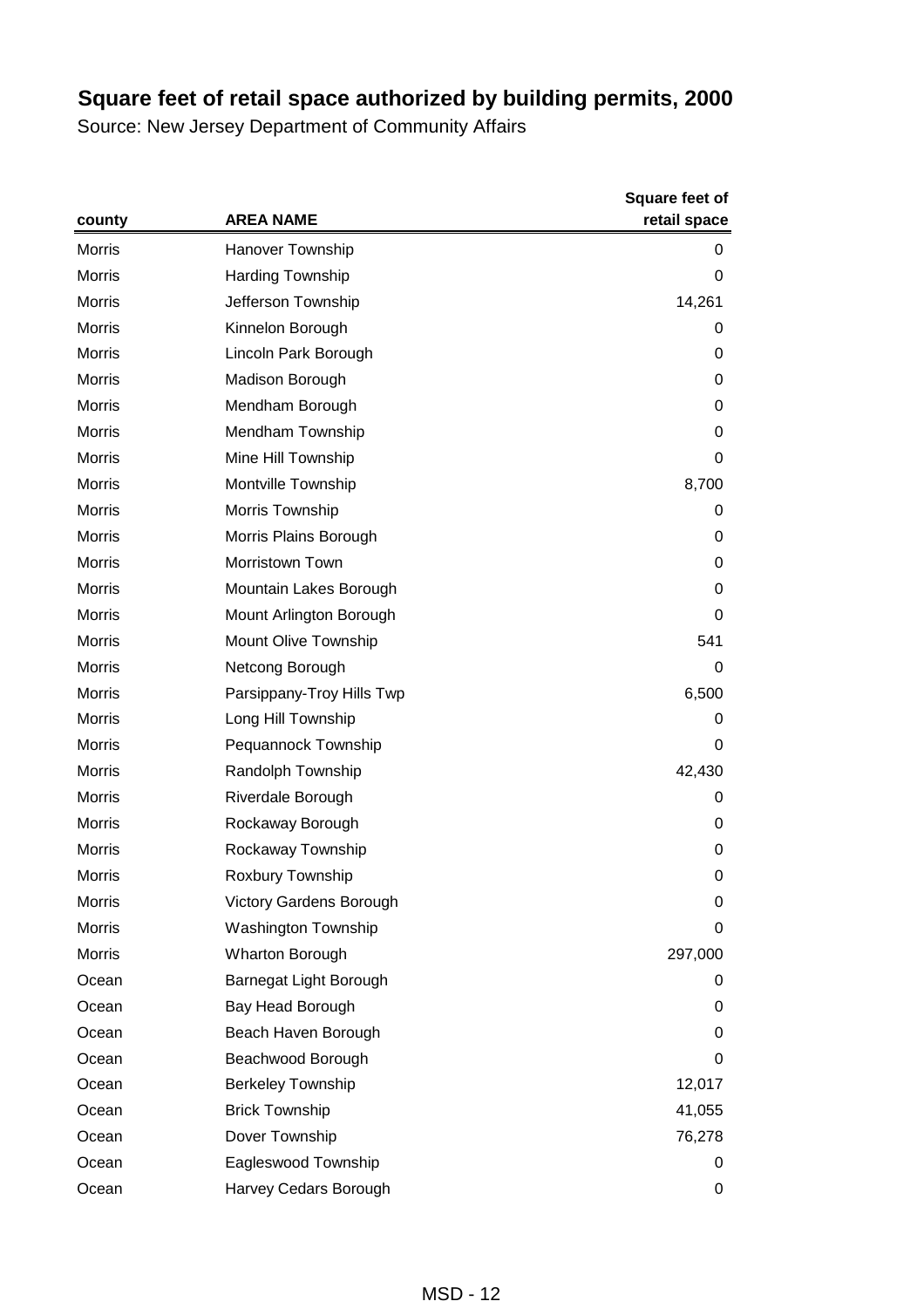|               | <b>AREA NAME</b>           | <b>Square feet of</b> |
|---------------|----------------------------|-----------------------|
| county        |                            | retail space          |
| <b>Morris</b> | <b>Hanover Township</b>    | 0                     |
| <b>Morris</b> | <b>Harding Township</b>    | 0                     |
| <b>Morris</b> | Jefferson Township         | 14,261                |
| <b>Morris</b> | Kinnelon Borough           | 0                     |
| <b>Morris</b> | Lincoln Park Borough       | 0                     |
| <b>Morris</b> | Madison Borough            | 0                     |
| <b>Morris</b> | Mendham Borough            | 0                     |
| <b>Morris</b> | Mendham Township           | 0                     |
| Morris        | Mine Hill Township         | 0                     |
| <b>Morris</b> | Montville Township         | 8,700                 |
| <b>Morris</b> | Morris Township            | 0                     |
| <b>Morris</b> | Morris Plains Borough      | 0                     |
| <b>Morris</b> | Morristown Town            | 0                     |
| Morris        | Mountain Lakes Borough     | 0                     |
| <b>Morris</b> | Mount Arlington Borough    | 0                     |
| <b>Morris</b> | Mount Olive Township       | 541                   |
| <b>Morris</b> | Netcong Borough            | 0                     |
| <b>Morris</b> | Parsippany-Troy Hills Twp  | 6,500                 |
| Morris        | Long Hill Township         | 0                     |
| <b>Morris</b> | Pequannock Township        | 0                     |
| <b>Morris</b> | Randolph Township          | 42,430                |
| <b>Morris</b> | Riverdale Borough          | 0                     |
| <b>Morris</b> | Rockaway Borough           | 0                     |
| Morris        | Rockaway Township          | 0                     |
| Morris        | Roxbury Township           | 0                     |
| Morris        | Victory Gardens Borough    | 0                     |
| <b>Morris</b> | <b>Washington Township</b> | 0                     |
| Morris        | <b>Wharton Borough</b>     | 297,000               |
| Ocean         | Barnegat Light Borough     | 0                     |
| Ocean         | Bay Head Borough           | 0                     |
| Ocean         | Beach Haven Borough        | 0                     |
| Ocean         | Beachwood Borough          | 0                     |
| Ocean         | <b>Berkeley Township</b>   | 12,017                |
| Ocean         | <b>Brick Township</b>      | 41,055                |
| Ocean         | Dover Township             | 76,278                |
| Ocean         | Eagleswood Township        | 0                     |
| Ocean         | Harvey Cedars Borough      | 0                     |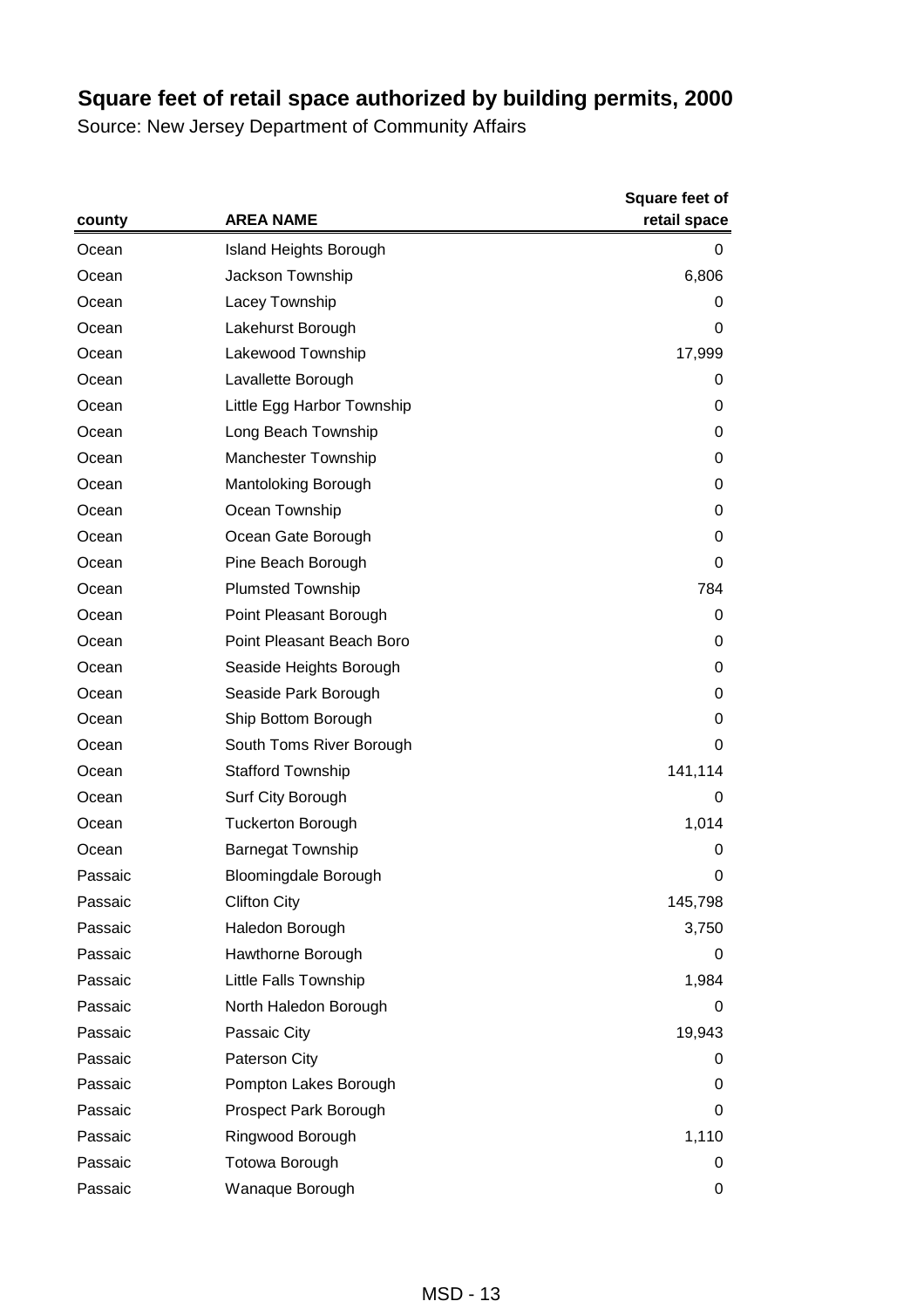|         | <b>AREA NAME</b>              | <b>Square feet of</b><br>retail space |
|---------|-------------------------------|---------------------------------------|
| county  |                               |                                       |
| Ocean   | <b>Island Heights Borough</b> | 0                                     |
| Ocean   | Jackson Township              | 6,806                                 |
| Ocean   | Lacey Township                | 0                                     |
| Ocean   | Lakehurst Borough             | 0                                     |
| Ocean   | Lakewood Township             | 17,999                                |
| Ocean   | Lavallette Borough            | 0                                     |
| Ocean   | Little Egg Harbor Township    | 0                                     |
| Ocean   | Long Beach Township           | 0                                     |
| Ocean   | <b>Manchester Township</b>    | 0                                     |
| Ocean   | Mantoloking Borough           | 0                                     |
| Ocean   | Ocean Township                | 0                                     |
| Ocean   | Ocean Gate Borough            | 0                                     |
| Ocean   | Pine Beach Borough            | 0                                     |
| Ocean   | <b>Plumsted Township</b>      | 784                                   |
| Ocean   | Point Pleasant Borough        | 0                                     |
| Ocean   | Point Pleasant Beach Boro     | 0                                     |
| Ocean   | Seaside Heights Borough       | 0                                     |
| Ocean   | Seaside Park Borough          | 0                                     |
| Ocean   | Ship Bottom Borough           | 0                                     |
| Ocean   | South Toms River Borough      | 0                                     |
| Ocean   | <b>Stafford Township</b>      | 141,114                               |
| Ocean   | Surf City Borough             | 0                                     |
| Ocean   | <b>Tuckerton Borough</b>      | 1,014                                 |
| Ocean   | <b>Barnegat Township</b>      | 0                                     |
| Passaic | <b>Bloomingdale Borough</b>   | 0                                     |
| Passaic | <b>Clifton City</b>           | 145,798                               |
| Passaic | Haledon Borough               | 3,750                                 |
| Passaic | Hawthorne Borough             | 0                                     |
| Passaic | Little Falls Township         | 1,984                                 |
| Passaic | North Haledon Borough         | 0                                     |
| Passaic | Passaic City                  | 19,943                                |
| Passaic | Paterson City                 | 0                                     |
| Passaic | Pompton Lakes Borough         | 0                                     |
| Passaic | Prospect Park Borough         | 0                                     |
| Passaic | Ringwood Borough              | 1,110                                 |
| Passaic | Totowa Borough                | 0                                     |
| Passaic | Wanaque Borough               | 0                                     |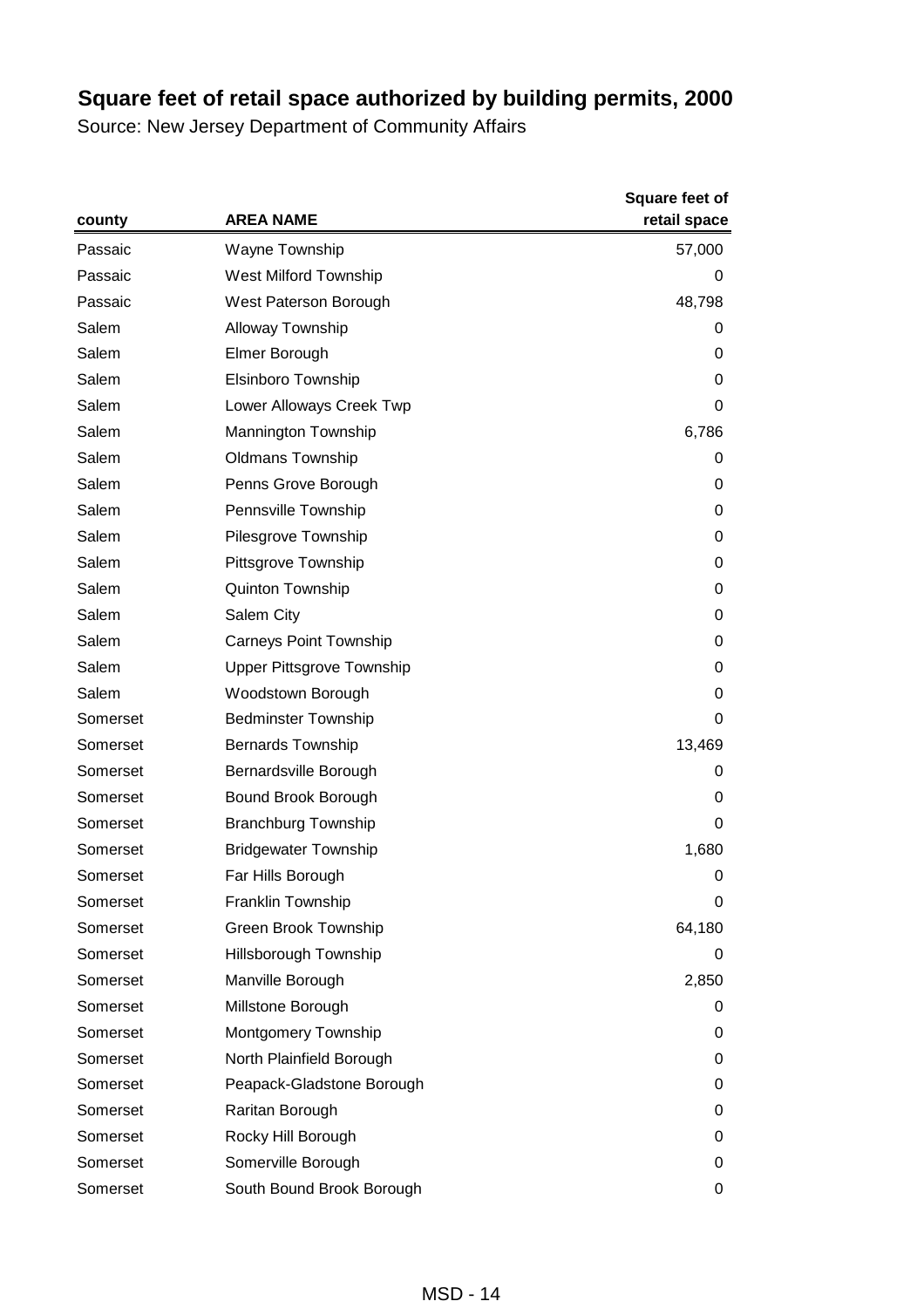|          | <b>AREA NAME</b>                 | Square feet of<br>retail space |
|----------|----------------------------------|--------------------------------|
| county   |                                  |                                |
| Passaic  | Wayne Township                   | 57,000                         |
| Passaic  | West Milford Township            | 0                              |
| Passaic  | West Paterson Borough            | 48,798                         |
| Salem    | Alloway Township                 | 0                              |
| Salem    | Elmer Borough                    | 0                              |
| Salem    | Elsinboro Township               | 0                              |
| Salem    | Lower Alloways Creek Twp         | 0                              |
| Salem    | <b>Mannington Township</b>       | 6,786                          |
| Salem    | <b>Oldmans Township</b>          | 0                              |
| Salem    | Penns Grove Borough              | 0                              |
| Salem    | Pennsville Township              | 0                              |
| Salem    | Pilesgrove Township              | 0                              |
| Salem    | Pittsgrove Township              | 0                              |
| Salem    | <b>Quinton Township</b>          | 0                              |
| Salem    | Salem City                       | 0                              |
| Salem    | <b>Carneys Point Township</b>    | 0                              |
| Salem    | <b>Upper Pittsgrove Township</b> | 0                              |
| Salem    | Woodstown Borough                | 0                              |
| Somerset | <b>Bedminster Township</b>       | 0                              |
| Somerset | <b>Bernards Township</b>         | 13,469                         |
| Somerset | Bernardsville Borough            | 0                              |
| Somerset | Bound Brook Borough              | 0                              |
| Somerset | <b>Branchburg Township</b>       | 0                              |
| Somerset | <b>Bridgewater Township</b>      | 1,680                          |
| Somerset | Far Hills Borough                | 0                              |
| Somerset | Franklin Township                | 0                              |
| Somerset | Green Brook Township             | 64,180                         |
| Somerset | Hillsborough Township            | 0                              |
| Somerset | Manville Borough                 | 2,850                          |
| Somerset | Millstone Borough                | 0                              |
| Somerset | <b>Montgomery Township</b>       | 0                              |
| Somerset | North Plainfield Borough         | 0                              |
| Somerset | Peapack-Gladstone Borough        | 0                              |
| Somerset | Raritan Borough                  | 0                              |
| Somerset | Rocky Hill Borough               | 0                              |
| Somerset | Somerville Borough               | 0                              |
| Somerset | South Bound Brook Borough        | 0                              |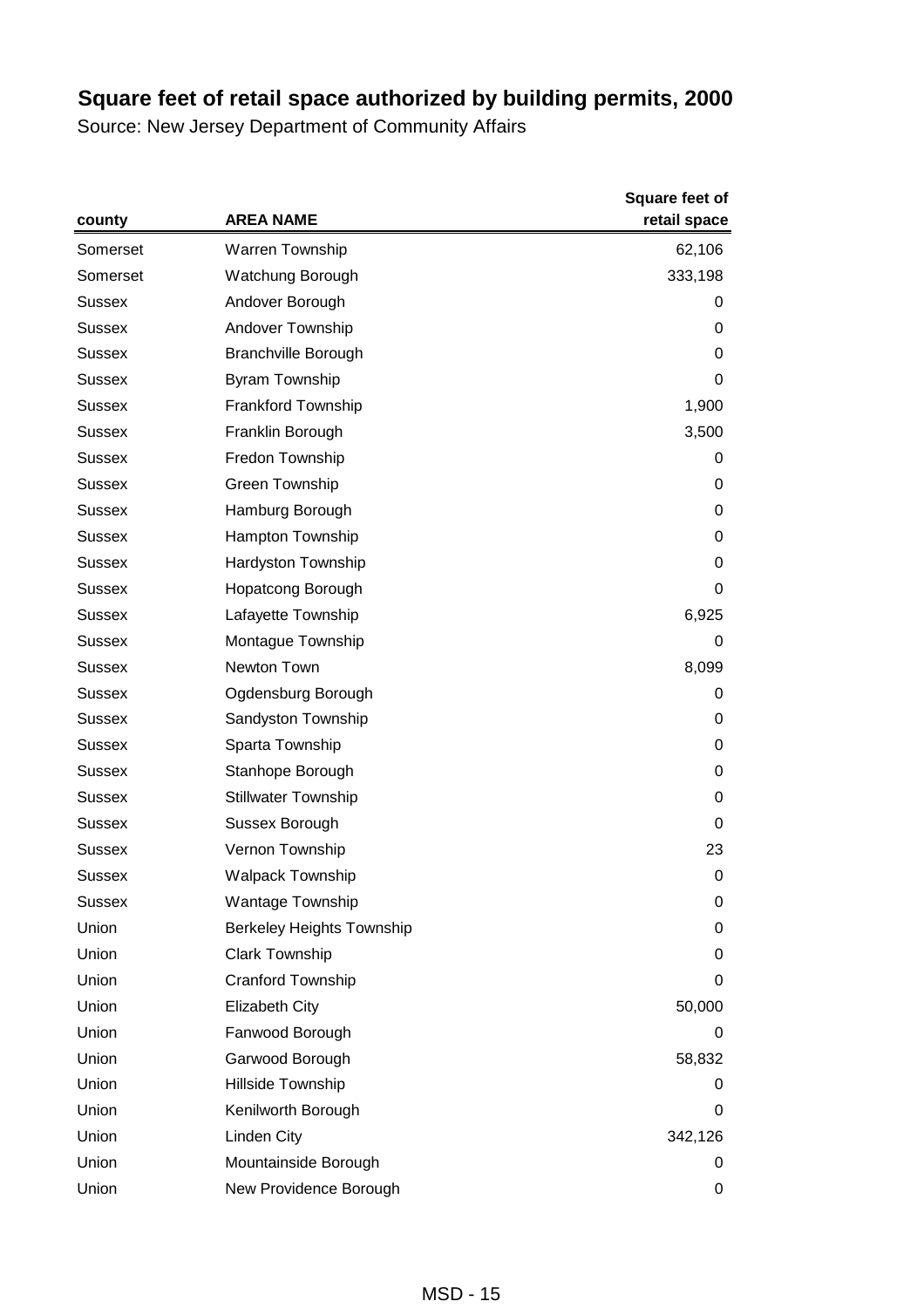|               | <b>AREA NAME</b>                 | <b>Square feet of</b><br>retail space |
|---------------|----------------------------------|---------------------------------------|
| county        |                                  |                                       |
| Somerset      | Warren Township                  | 62,106                                |
| Somerset      | Watchung Borough                 | 333,198                               |
| Sussex        | Andover Borough                  | 0                                     |
| Sussex        | Andover Township                 | 0                                     |
| <b>Sussex</b> | <b>Branchville Borough</b>       | 0                                     |
| <b>Sussex</b> | Byram Township                   | 0                                     |
| <b>Sussex</b> | Frankford Township               | 1,900                                 |
| Sussex        | Franklin Borough                 | 3,500                                 |
| Sussex        | Fredon Township                  | 0                                     |
| <b>Sussex</b> | Green Township                   | 0                                     |
| <b>Sussex</b> | Hamburg Borough                  | 0                                     |
| <b>Sussex</b> | Hampton Township                 | 0                                     |
| Sussex        | Hardyston Township               | 0                                     |
| Sussex        | Hopatcong Borough                | 0                                     |
| <b>Sussex</b> | Lafayette Township               | 6,925                                 |
| <b>Sussex</b> | Montague Township                | $\mathbf 0$                           |
| <b>Sussex</b> | Newton Town                      | 8,099                                 |
| Sussex        | Ogdensburg Borough               | 0                                     |
| Sussex        | Sandyston Township               | 0                                     |
| <b>Sussex</b> | Sparta Township                  | 0                                     |
| <b>Sussex</b> | Stanhope Borough                 | 0                                     |
| <b>Sussex</b> | <b>Stillwater Township</b>       | 0                                     |
| Sussex        | Sussex Borough                   | 0                                     |
| Sussex        | Vernon Township                  | 23                                    |
| Sussex        | <b>Walpack Township</b>          | 0                                     |
| <b>Sussex</b> | <b>Wantage Township</b>          | 0                                     |
| Union         | <b>Berkeley Heights Township</b> | 0                                     |
| Union         | <b>Clark Township</b>            | 0                                     |
| Union         | Cranford Township                | 0                                     |
| Union         | <b>Elizabeth City</b>            | 50,000                                |
| Union         | Fanwood Borough                  | 0                                     |
| Union         | Garwood Borough                  | 58,832                                |
| Union         | Hillside Township                | 0                                     |
| Union         | Kenilworth Borough               | 0                                     |
| Union         | Linden City                      | 342,126                               |
| Union         | Mountainside Borough             | 0                                     |
| Union         | New Providence Borough           | 0                                     |